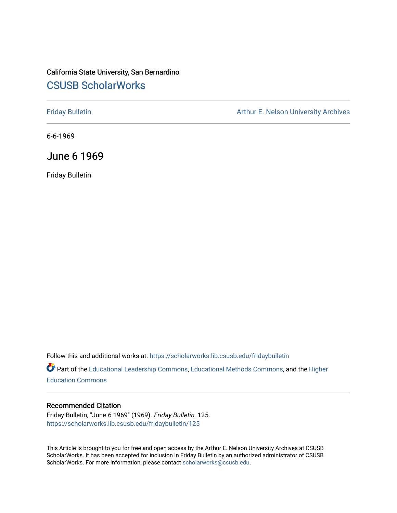## California State University, San Bernardino [CSUSB ScholarWorks](https://scholarworks.lib.csusb.edu/)

[Friday Bulletin](https://scholarworks.lib.csusb.edu/fridaybulletin) **Arthur E. Nelson University Archives** Arthur E. Nelson University Archives

6-6-1969

June 6 1969

Friday Bulletin

Follow this and additional works at: [https://scholarworks.lib.csusb.edu/fridaybulletin](https://scholarworks.lib.csusb.edu/fridaybulletin?utm_source=scholarworks.lib.csusb.edu%2Ffridaybulletin%2F125&utm_medium=PDF&utm_campaign=PDFCoverPages)

Part of the [Educational Leadership Commons,](http://network.bepress.com/hgg/discipline/1230?utm_source=scholarworks.lib.csusb.edu%2Ffridaybulletin%2F125&utm_medium=PDF&utm_campaign=PDFCoverPages) [Educational Methods Commons,](http://network.bepress.com/hgg/discipline/1227?utm_source=scholarworks.lib.csusb.edu%2Ffridaybulletin%2F125&utm_medium=PDF&utm_campaign=PDFCoverPages) and the [Higher](http://network.bepress.com/hgg/discipline/1245?utm_source=scholarworks.lib.csusb.edu%2Ffridaybulletin%2F125&utm_medium=PDF&utm_campaign=PDFCoverPages) [Education Commons](http://network.bepress.com/hgg/discipline/1245?utm_source=scholarworks.lib.csusb.edu%2Ffridaybulletin%2F125&utm_medium=PDF&utm_campaign=PDFCoverPages) 

## Recommended Citation

Friday Bulletin, "June 6 1969" (1969). Friday Bulletin. 125. [https://scholarworks.lib.csusb.edu/fridaybulletin/125](https://scholarworks.lib.csusb.edu/fridaybulletin/125?utm_source=scholarworks.lib.csusb.edu%2Ffridaybulletin%2F125&utm_medium=PDF&utm_campaign=PDFCoverPages)

This Article is brought to you for free and open access by the Arthur E. Nelson University Archives at CSUSB ScholarWorks. It has been accepted for inclusion in Friday Bulletin by an authorized administrator of CSUSB ScholarWorks. For more information, please contact [scholarworks@csusb.edu.](mailto:scholarworks@csusb.edu)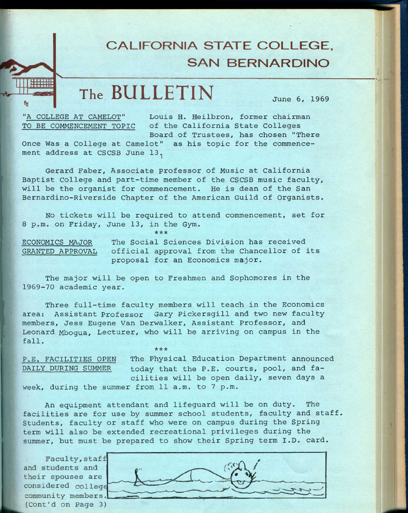## **CALIFORNIA STATE COLLEGE, SAN BERNARDINO**

## **The BULLETIN June 5, 1959**

**fn** 

**"A COLLEGE AT CAMELOT" Louis H- Heilbron, former chairman TO BE COMMENCEMENT TOPIC of the California State Colleges Board of Trustees, has chosen "There** 

**Once Was a College at Camelot" as his topic for the commencement address at CSCSB June 13.^** 

**Gerard Faber, Associate professor of Music at California Baptist College and part-time member of the CSCSB music faculty, will be the organist for commencement. He is dean of the San Bernardino-Riverside Chapter of the American Guild of Organists.** 

**No tickets will be required to attend commencement, set for 8 p.m. on Friday, June 13, in the Gym.** 

**ECONOMICS MAJOR The Social Sciences Division has received GRANTED APPROVAL official approval from the Chancellor of its proposal for an Economics major.** 

*rkick* 

**The major will be open to Freshmen and Sophomores in the 1969-70 academic year.** 

**Three full-time faculty members will teach in the Economics area: Assistant Professor Gary Pickersgill and two new faculty members, Jess Eugene Van Derwalker, Assistant Professor, and Leonard Mbogua, Lecturer, who will be arriving on campus in the fall.** 

**\*\* \*** 

**P.E. FACILITIES OPEN The Physical Education Department announced DAILY DURING SUMMER today that the P.E. courts, pool, and facilities will be open daily, seven days a week, during the summer from 11 a.m. to 7 p.m.** 

**An equipment attendant and lifeguard will be on duty. The facilities are for use by summer school students, faculty and staff. Students, faculty or staff who were on campus during the Spring term will also be extended recreational privileges during the summer, but must be prepared to show their Spring term I.D. card.** 

Faculty, staff and students and their spouses are considered college community members. (Cont'd on Page 3)

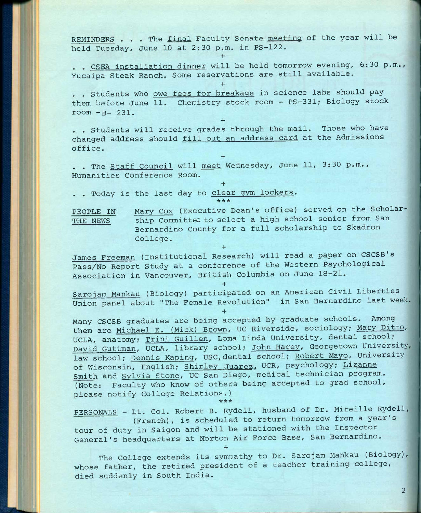REMINDERS . . . The final Faculty Senate meeting of the year will be held Tuesday, June **10** at **2:30** p.m. in **PS-122.** 

**+** 

**+** 

**+** 

**+** 

**+** 

. . CSEA installation dinner will be held tomorrow evening, **6:30** p.m., Yucaipa Steak Ranch. Some reservations are still available.

**. . Students who owe fees for breakage in science labs should pay**  them before June 11. Chemistry stock room - PS-331; Biology stock **room -B- 231.** 

. . Students will receive grades through the mail. Those who have changed address should fill out an address card at the Admissions office.

**, . The Staff Council will meet Wednesday, June 11, 3:30 p.m.. Humanities Conference Room.** 

. . Today is the last day to clear gym lockers. **\* \* \*** 

PEOPLE IN Mary Cox (Executive Dean's office) served on the Scholar-THE NEWS ship Committee to select a high school senior from San Bernardino County for a full scholarship to Skadron College.

James Freeman (Institutional Research) will read a paper on CSCSB's Pass/No Report Study at a conference of the Western Psychological Association in Vancouver, British Columbia on June **18-21.** 

**+** 

**+** 

**+** 

Sarojam Mankau (Biology) participated on an American Civil Liberties Union panel about "The Female Revolution" in San Bernardino last week

Many CSCSB graduates are being accepted by graduate schools. Among them are Michael E. (Mick) Brown, UC Riverside, sociology; Mary Ditto, UCLA, anatomy; Trini Guillen, Loma Linda University, dental school; David Guttman, UCLA, library school; John Hagey, Georgetown University, law school; Dennis Raping, USC,dental school; Robert Mayo, University of Wisconsin, English; Shirley Juarez. UCR, psychology; Lizanne Smith and Svlvia Stone, UC San Diego, medical technician program. (Note: Faculty who know of others being accepted to grad school, please notify College Relations.) **\*\*\*** 

PERSONALS - Lt. Col. Robert B. Rydell, husband of Dr. Mireille Rydell, (French), is scheduled to return tomorrow from a year's tour of duty in Saigon and will be stationed with the Inspector General's headquarters at Norton Air Force Base, San Bernardino. **+** 

The College extends its sympathy to Dr. Sarojam Mankau (Biology), whose father, the retired president of a teacher training college, died suddenly in South India.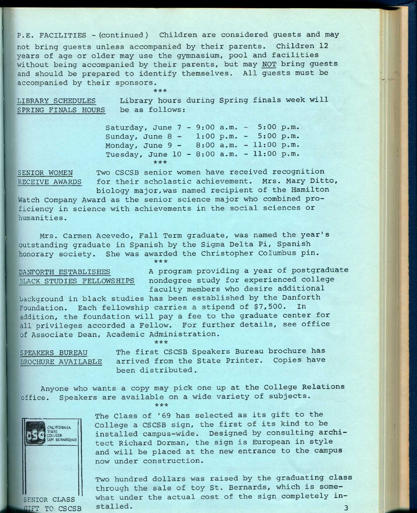**P-E. FACILITIES -(continued) Children are considered guests and may** 

**not bring guests unless accompanied by their parents. Children 12 years of age or older may use the gymnasium, pool and facilities without being accompanied by their parents, but may NOT bring guests and should be prepared to identify themselves. All guests must be accompanied by their sponsors.** 

**\*\*\*** 

**LIBRARY SCHEDULES SPRING FINALS HOURS be as follows; Library hours during Spring finals week will** 

> **Saturday, June 7 - 9:00 a.m. 5:00 p.m. Sunday, June 8 - 1:00 p.m. 5:00 p.m. Monday, June 9 - 8:00 a.m. 11:00 p.m. Tuesday, June 10 - 8:00 a.m. 11:00 p.m. \*\*\***

**SENIOR WOMEN Two CSCSB senior women have received recognition RECEIVE AWARDS for their scholastic achievement. Mrs. Mary Ditto, biology major,was named recipient of the Hamilton** 

**Watch Company Award as the senior science major who combined proficiency in science with achievements in the social sciences or humanities.** 

**Mrs. Carmen Acevedo, Fall Term graduate, was named the year's outstanding graduate in Spanish by the Sigma Delta Pi, Spanish honorary society. She was awarded the Christopher Columbus pin.**  *•kick* 

**DANFORTH ESTABLISHES BLACK STUDIES FELLOWSHIPS**  **A program providing a year of postgraduate nondegree study for experienced college faculty members who desire additional** 

**background in black studies has been established by the Danforth Foundation. Each fellowship carries a stipend of \$7,500. In addition, the foundation will pay a fee to the graduate center for all privileges accorded a Fellow. For further details, see office of Associate Dean, Academic Administration.** 

**\*\*\*** 

**SPEAKERS BUREAU BROCHURE AVAILABLE** 

**The first CSCSB Speakers Bureau brochure has arrived from the State Printer. Copies have been distributed.** 

**Anyone who wants a copy may pick one up at the College Relations office. Speakers are available on a wide variety of subjects. \*\*\*** 



**The Class of '69 has selected as its gift to the College a CSCSB sign, the first of its kind to be installed campus-wide. Designed by consulting architect Richard Dorman, the sign is European in style and will be placed at the new entrance to the campus now under construction.** 

**Two hundred dollars was raised by the graduating class through the sale of toy St. Bernards, which is some-** SENIOR CLASS<sup>''</sup> what under the actual cost of the sign completely in-**FILM TO CSCSB** stalled. **3**